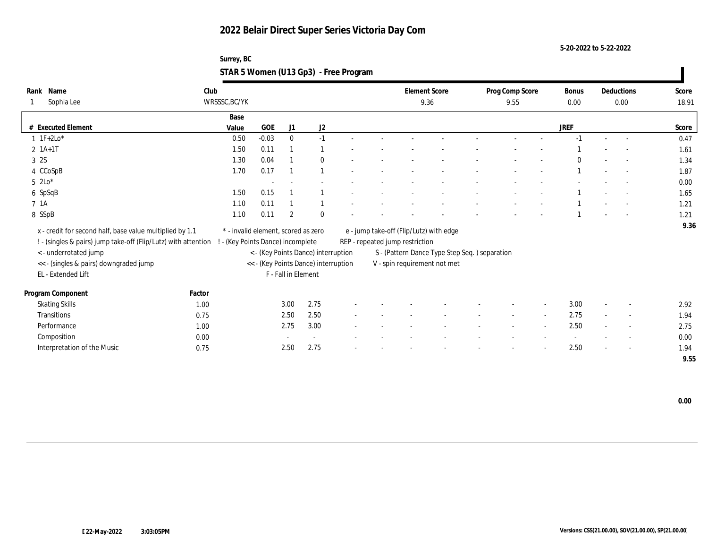**5-20-2022 to 5-22-2022**

### **Surrey, BC STAR 5 Women (U13 Gp3) - Free Program**

| Rank Name                                                                                        | Club   |                                     |            |                     |                                      |  | <b>Element Score</b>            |                                               | Prog Comp Score |                          | <b>Bonus</b> |        | Deductions               | Score |
|--------------------------------------------------------------------------------------------------|--------|-------------------------------------|------------|---------------------|--------------------------------------|--|---------------------------------|-----------------------------------------------|-----------------|--------------------------|--------------|--------|--------------------------|-------|
| Sophia Lee                                                                                       |        | WRSSSC, BC/YK                       |            |                     |                                      |  |                                 | 9.36                                          | 9.55            |                          | $0.00\,$     |        | $0.00\,$                 | 18.91 |
|                                                                                                  |        | Base                                |            |                     |                                      |  |                                 |                                               |                 |                          |              |        |                          |       |
| <b>Executed Element</b><br>#                                                                     |        | Value                               | <b>GOE</b> | J1                  | J2                                   |  |                                 |                                               |                 |                          | <b>JREF</b>  |        |                          | Score |
| $1 \ 1F+2Lo*$                                                                                    |        | 0.50                                | $-0.03$    | $\mathbf{0}$        | $-1$                                 |  |                                 |                                               |                 |                          | $-1$         |        | $\overline{\phantom{a}}$ | 0.47  |
| $2 \; 1A+1T$                                                                                     |        | 1.50                                | 0.11       |                     |                                      |  |                                 |                                               |                 |                          |              |        |                          | 1.61  |
| 3 2S                                                                                             |        | 1.30                                | 0.04       |                     | $\mathbf{0}$                         |  |                                 |                                               |                 |                          | $\Omega$     |        | $\overline{a}$           | 1.34  |
| 4 CCoSpB                                                                                         |        | 1.70                                | 0.17       |                     | $\overline{1}$                       |  |                                 |                                               |                 |                          |              |        | $\sim$                   | 1.87  |
| $5 \text{ } 2\text{Lo*}$                                                                         |        |                                     |            |                     |                                      |  |                                 |                                               |                 |                          |              |        |                          | 0.00  |
| 6 SpSqB                                                                                          |        | 1.50                                | 0.15       |                     |                                      |  |                                 |                                               |                 |                          |              |        |                          | 1.65  |
| 7 1A                                                                                             |        | 1.10                                | 0.11       |                     |                                      |  |                                 |                                               |                 |                          |              |        |                          | 1.21  |
| 8 SSpB                                                                                           |        | 1.10                                | 0.11       | $\overline{2}$      | $\theta$                             |  |                                 |                                               |                 |                          |              |        |                          | 1.21  |
| x - credit for second half, base value multiplied by 1.1                                         |        | * - invalid element, scored as zero |            |                     |                                      |  |                                 | e - jump take-off (Flip/Lutz) with edge       |                 |                          |              |        |                          | 9.36  |
| ! - (singles & pairs) jump take-off (Flip/Lutz) with attention ! - (Key Points Dance) incomplete |        |                                     |            |                     |                                      |  | REP - repeated jump restriction |                                               |                 |                          |              |        |                          |       |
| <- underrotated jump                                                                             |        |                                     |            |                     | < - (Key Points Dance) interruption  |  |                                 | S - (Pattern Dance Type Step Seq.) separation |                 |                          |              |        |                          |       |
| << - (singles & pairs) downgraded jump                                                           |        |                                     |            |                     | << - (Key Points Dance) interruption |  |                                 | V - spin requirement not met                  |                 |                          |              |        |                          |       |
| EL - Extended Lift                                                                               |        |                                     |            | F - Fall in Element |                                      |  |                                 |                                               |                 |                          |              |        |                          |       |
| Program Component                                                                                | Factor |                                     |            |                     |                                      |  |                                 |                                               |                 |                          |              |        |                          |       |
| <b>Skating Skills</b>                                                                            | 1.00   |                                     |            | 3.00                | 2.75                                 |  |                                 |                                               |                 |                          | 3.00         |        | $\overline{\phantom{a}}$ | 2.92  |
| <b>Transitions</b>                                                                               | 0.75   |                                     |            | 2.50                | 2.50                                 |  |                                 |                                               | $\sim$          | $\sim$                   | 2.75         | $\sim$ | $\sim$                   | 1.94  |
| Performance                                                                                      | 1.00   |                                     |            | 2.75                | 3.00                                 |  |                                 |                                               |                 | $\overline{\phantom{a}}$ | 2.50         |        | $\overline{\phantom{a}}$ | 2.75  |
| Composition                                                                                      | 0.00   |                                     |            |                     |                                      |  |                                 |                                               |                 |                          |              |        | $\overline{\phantom{a}}$ | 0.00  |
| Interpretation of the Music                                                                      | 0.75   |                                     |            | 2.50                | 2.75                                 |  |                                 |                                               |                 |                          | 2.50         |        | $\overline{\phantom{a}}$ | 1.94  |
|                                                                                                  |        |                                     |            |                     |                                      |  |                                 |                                               |                 |                          |              |        |                          | 9.55  |
|                                                                                                  |        |                                     |            |                     |                                      |  |                                 |                                               |                 |                          |              |        |                          |       |

 **0.00**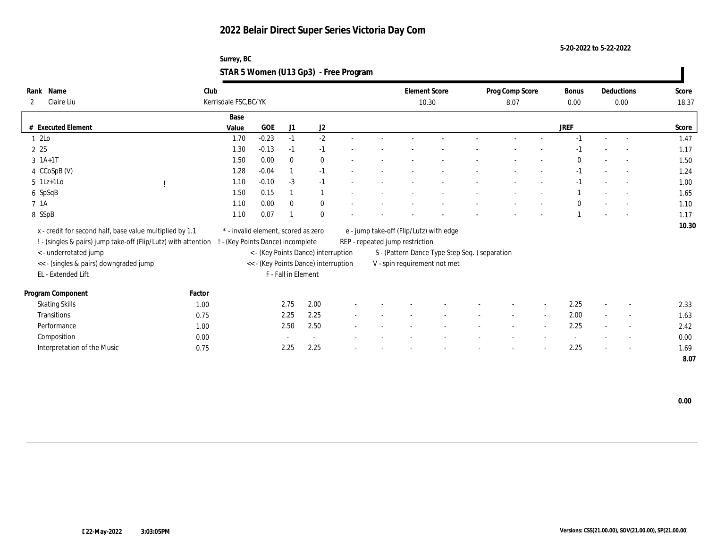**5-20-2022 to 5-22-2022**

| Rank Name                                                                                        | Club   |                                     |            |                     |                                      |  |                                 | <b>Element Score</b>                          | Prog Comp Score |                          | <b>Bonus</b> |        | Deductions               | Score |
|--------------------------------------------------------------------------------------------------|--------|-------------------------------------|------------|---------------------|--------------------------------------|--|---------------------------------|-----------------------------------------------|-----------------|--------------------------|--------------|--------|--------------------------|-------|
| Claire Liu<br>2                                                                                  |        | Kerrisdale FSC, BC/YK               |            |                     |                                      |  |                                 | 10.30                                         | 8.07            |                          | 0.00         |        | 0.00                     | 18.37 |
|                                                                                                  |        | Base                                |            |                     |                                      |  |                                 |                                               |                 |                          |              |        |                          |       |
| # Executed Element                                                                               |        | Value                               | <b>GOE</b> | J1                  | J2                                   |  |                                 |                                               |                 |                          | <b>JREF</b>  |        |                          | Score |
| 1 2Lo                                                                                            |        | 1.70                                | $-0.23$    | $-1$                | $-2$                                 |  |                                 |                                               |                 |                          |              |        | $\overline{a}$           | 1.47  |
| 2 2S                                                                                             |        | 1.30                                | $-0.13$    | $-1$                | $-1$                                 |  |                                 |                                               |                 |                          |              |        |                          | 1.17  |
| $3 \; 1A+1T$                                                                                     |        | 1.50                                | 0.00       | $\mathbf{0}$        | $\mathbf{0}$                         |  |                                 |                                               |                 |                          | $\bf{0}$     |        |                          | 1.50  |
| 4 CCoSpB (V)                                                                                     |        | 1.28                                | $-0.04$    |                     | $-1$                                 |  |                                 |                                               |                 |                          | $-1$         |        | $\sim$                   | 1.24  |
| $5$ 1Lz+1Lo                                                                                      |        | 1.10                                | $-0.10$    | $-3$                | $-1$                                 |  |                                 |                                               |                 |                          | $-1$         |        | $\sim$                   | 1.00  |
| 6 SpSqB                                                                                          |        | 1.50                                | 0.15       |                     |                                      |  |                                 |                                               |                 |                          |              |        |                          | 1.65  |
| 7 1A                                                                                             |        | 1.10                                | 0.00       | $\theta$            | $\bf{0}$                             |  |                                 |                                               |                 |                          | $\Omega$     |        |                          | 1.10  |
| 8 SSpB                                                                                           |        | 1.10                                | 0.07       |                     | $\mathbf{0}$                         |  |                                 |                                               |                 |                          |              |        | $\overline{a}$           | 1.17  |
| x - credit for second half, base value multiplied by 1.1                                         |        | * - invalid element, scored as zero |            |                     |                                      |  |                                 | e - jump take-off (Flip/Lutz) with edge       |                 |                          |              |        |                          | 10.30 |
| ! - (singles & pairs) jump take-off (Flip/Lutz) with attention ! - (Key Points Dance) incomplete |        |                                     |            |                     |                                      |  | REP - repeated jump restriction |                                               |                 |                          |              |        |                          |       |
| <- underrotated jump                                                                             |        |                                     |            |                     | < - (Key Points Dance) interruption  |  |                                 | S - (Pattern Dance Type Step Seq.) separation |                 |                          |              |        |                          |       |
| << - (singles & pairs) downgraded jump                                                           |        |                                     |            |                     | << - (Key Points Dance) interruption |  |                                 | V - spin requirement not met                  |                 |                          |              |        |                          |       |
| EL - Extended Lift                                                                               |        |                                     |            | F - Fall in Element |                                      |  |                                 |                                               |                 |                          |              |        |                          |       |
| Program Component                                                                                | Factor |                                     |            |                     |                                      |  |                                 |                                               |                 |                          |              |        |                          |       |
| <b>Skating Skills</b>                                                                            | 1.00   |                                     |            | 2.75                | 2.00                                 |  |                                 |                                               |                 |                          | 2.25         | $\sim$ | $\sim$                   | 2.33  |
| <b>Transitions</b>                                                                               | 0.75   |                                     |            | 2.25                | 2.25                                 |  |                                 |                                               | $\sim$          | $\sim$                   | 2.00         | $\sim$ | $\sim$                   | 1.63  |
| Performance                                                                                      | 1.00   |                                     |            | 2.50                | 2.50                                 |  |                                 |                                               |                 | $\overline{\phantom{a}}$ | 2.25         |        | $\sim$                   | 2.42  |
| Composition                                                                                      | 0.00   |                                     |            |                     | $\sim$                               |  |                                 |                                               |                 |                          |              |        | $\sim$                   | 0.00  |
| Interpretation of the Music                                                                      | 0.75   |                                     |            | 2.25                | 2.25                                 |  |                                 |                                               |                 |                          | 2.25         |        | $\overline{\phantom{a}}$ | 1.69  |
|                                                                                                  |        |                                     |            |                     |                                      |  |                                 |                                               |                 |                          |              |        |                          | 8.07  |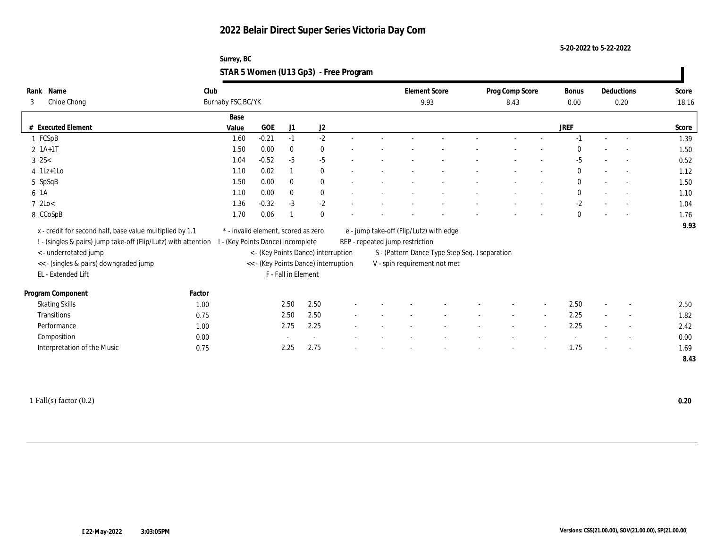**5-20-2022 to 5-22-2022**

### **Surrey, BC STAR 5 Women (U13 Gp3) - Free Program**

| Name<br>Rank                                                   | Club   |                                     |            |                     |                                      |  |                                 | <b>Element Score</b>                          | Prog Comp Score |        | <b>Bonus</b> |        | Deductions               | Score |
|----------------------------------------------------------------|--------|-------------------------------------|------------|---------------------|--------------------------------------|--|---------------------------------|-----------------------------------------------|-----------------|--------|--------------|--------|--------------------------|-------|
| Chloe Chong<br>3                                               |        | Burnaby FSC, BC/YK                  |            |                     |                                      |  |                                 | 9.93                                          | 8.43            |        | 0.00         |        | 0.20                     | 18.16 |
|                                                                |        | Base                                |            |                     |                                      |  |                                 |                                               |                 |        |              |        |                          |       |
| # Executed Element                                             |        | Value                               | <b>GOE</b> | J1                  | J2                                   |  |                                 |                                               |                 |        | <b>JREF</b>  |        |                          | Score |
| 1 FCSpB                                                        |        | 1.60                                | $-0.21$    | $-1$                | $-2$                                 |  |                                 |                                               |                 |        |              | $\sim$ | $\overline{a}$           | 1.39  |
| $2 \; 1A+1T$                                                   |        | 1.50                                | 0.00       | $\mathbf{0}$        | $\bf{0}$                             |  |                                 |                                               |                 |        | $\Omega$     |        |                          | 1.50  |
| $3 \, 2S <$                                                    |        | 1.04                                | $-0.52$    | $-5$                | $-5$                                 |  |                                 |                                               |                 |        | -5           |        |                          | 0.52  |
| $4$ 1Lz+1Lo                                                    |        | 1.10                                | 0.02       |                     | $\bf{0}$                             |  |                                 |                                               |                 |        | $\mathbf{0}$ |        | $\sim$                   | 1.12  |
| 5 SpSqB                                                        |        | 1.50                                | 0.00       | $\mathbf{0}$        | $\mathbf{0}$                         |  |                                 |                                               |                 |        | $\mathbf{0}$ |        | $\sim$                   | 1.50  |
| 6 1A                                                           |        | 1.10                                | 0.00       | $\mathbf{0}$        | $\bf{0}$                             |  |                                 |                                               |                 |        | $\mathbf{0}$ |        |                          | 1.10  |
| $7 \text{ } 2 \text{Lo} <$                                     |        | 1.36                                | $-0.32$    | $-3$                | $-2$                                 |  |                                 |                                               |                 |        | $-2$         |        |                          | 1.04  |
| 8 CCoSpB                                                       |        | 1.70                                | 0.06       |                     | $\mathbf{0}$                         |  |                                 |                                               |                 |        | $\mathbf{0}$ |        |                          | 1.76  |
| x - credit for second half, base value multiplied by 1.1       |        | * - invalid element, scored as zero |            |                     |                                      |  |                                 | e - jump take-off (Flip/Lutz) with edge       |                 |        |              |        |                          | 9.93  |
| ! - (singles & pairs) jump take-off (Flip/Lutz) with attention |        | ! - (Key Points Dance) incomplete   |            |                     |                                      |  | REP - repeated jump restriction |                                               |                 |        |              |        |                          |       |
| <- underrotated jump                                           |        |                                     |            |                     | < - (Key Points Dance) interruption  |  |                                 | S - (Pattern Dance Type Step Seq.) separation |                 |        |              |        |                          |       |
| << - (singles & pairs) downgraded jump                         |        |                                     |            |                     | << - (Key Points Dance) interruption |  |                                 | V - spin requirement not met                  |                 |        |              |        |                          |       |
| EL - Extended Lift                                             |        |                                     |            | F - Fall in Element |                                      |  |                                 |                                               |                 |        |              |        |                          |       |
|                                                                | Factor |                                     |            |                     |                                      |  |                                 |                                               |                 |        |              |        |                          |       |
| Program Component<br><b>Skating Skills</b>                     |        |                                     |            | 2.50                | 2.50                                 |  |                                 |                                               |                 |        | 2.50         |        |                          |       |
|                                                                | 1.00   |                                     |            | 2.50                | 2.50                                 |  |                                 |                                               |                 |        | 2.25         |        |                          | 2.50  |
| Transitions                                                    | 0.75   |                                     |            |                     |                                      |  |                                 |                                               |                 | $\sim$ |              |        | $\overline{\phantom{a}}$ | 1.82  |
| Performance                                                    | 1.00   |                                     |            | 2.75                | 2.25                                 |  |                                 |                                               |                 |        | 2.25         |        |                          | 2.42  |
| Composition                                                    | 0.00   |                                     |            |                     | $\sim$                               |  |                                 |                                               |                 |        |              |        | $\sim$                   | 0.00  |
| Interpretation of the Music                                    | 0.75   |                                     |            | 2.25                | 2.75                                 |  |                                 |                                               |                 |        | 1.75         |        | $\overline{a}$           | 1.69  |
|                                                                |        |                                     |            |                     |                                      |  |                                 |                                               |                 |        |              |        |                          | 8.43  |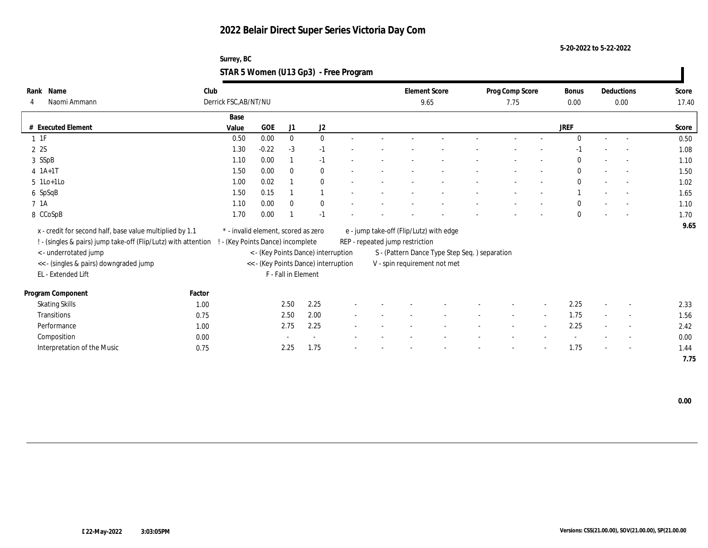**5-20-2022 to 5-22-2022**

| Rank Name                                                      | Club   |                                     |         |                     |                                      |  |                                 | <b>Element Score</b>                           | Prog Comp Score |                          | <b>Bonus</b> |                          | Deductions               | Score |
|----------------------------------------------------------------|--------|-------------------------------------|---------|---------------------|--------------------------------------|--|---------------------------------|------------------------------------------------|-----------------|--------------------------|--------------|--------------------------|--------------------------|-------|
| Naomi Ammann<br>4                                              |        | Derrick FSC, AB/NT/NU               |         |                     |                                      |  |                                 | 9.65                                           | 7.75            |                          | 0.00         |                          | 0.00                     | 17.40 |
|                                                                |        | Base                                |         |                     |                                      |  |                                 |                                                |                 |                          |              |                          |                          |       |
| # Executed Element                                             |        | Value                               | GOE     | J <sub>1</sub>      | $\mathrm{J}2$                        |  |                                 |                                                |                 |                          | JREF         |                          |                          | Score |
| $1 \t1F$                                                       |        | 0.50                                | 0.00    | $\bf{0}$            | $\mathbf{0}$                         |  |                                 |                                                |                 |                          | $\Omega$     | $\sim$                   |                          | 0.50  |
| $2\,2S$                                                        |        | 1.30                                | $-0.22$ | $-3$                | $-1$                                 |  |                                 |                                                |                 |                          | -1           |                          |                          | 1.08  |
| 3 SSpB                                                         |        | 1.10                                | 0.00    |                     | $-1$                                 |  |                                 |                                                |                 |                          | $\mathbf{0}$ |                          |                          | 1.10  |
| $4 \; 1A+1T$                                                   |        | 1.50                                | 0.00    | $\mathbf{0}$        | $\bf{0}$                             |  |                                 |                                                |                 |                          | $\mathbf{0}$ | $\sim$                   | $\sim$                   | 1.50  |
| $5$ 1Lo+1Lo                                                    |        | 1.00                                | 0.02    |                     | $\mathbf{0}$                         |  |                                 |                                                |                 |                          | $\mathbf{0}$ |                          | $\sim$                   | 1.02  |
| 6 SpSqB                                                        |        | 1.50                                | 0.15    |                     | $\mathbf{1}$                         |  |                                 |                                                |                 |                          |              |                          |                          | 1.65  |
| 7 1A                                                           |        | 1.10                                | 0.00    | $\mathbf{0}$        | $\bf{0}$                             |  |                                 |                                                |                 |                          | $\mathbf{0}$ |                          |                          | 1.10  |
| 8 CCoSpB                                                       |        | 1.70                                | 0.00    |                     | $-1$                                 |  |                                 |                                                |                 |                          | $\mathbf{0}$ |                          |                          | 1.70  |
| x - credit for second half, base value multiplied by 1.1       |        | * - invalid element, scored as zero |         |                     |                                      |  |                                 | e - jump take-off (Flip/Lutz) with edge        |                 |                          |              |                          |                          | 9.65  |
| ! - (singles & pairs) jump take-off (Flip/Lutz) with attention |        | - (Key Points Dance) incomplete     |         |                     |                                      |  | REP - repeated jump restriction |                                                |                 |                          |              |                          |                          |       |
| < - underrotated jump                                          |        |                                     |         |                     | < - (Key Points Dance) interruption  |  |                                 | S - (Pattern Dance Type Step Seq. ) separation |                 |                          |              |                          |                          |       |
| << - (singles & pairs) downgraded jump                         |        |                                     |         |                     | << - (Key Points Dance) interruption |  |                                 | V - spin requirement not met                   |                 |                          |              |                          |                          |       |
| EL - Extended Lift                                             |        |                                     |         | F - Fall in Element |                                      |  |                                 |                                                |                 |                          |              |                          |                          |       |
| Program Component                                              | Factor |                                     |         |                     |                                      |  |                                 |                                                |                 |                          |              |                          |                          |       |
| <b>Skating Skills</b>                                          | 1.00   |                                     |         | 2.50                | 2.25                                 |  |                                 |                                                |                 |                          | 2.25         | $\overline{\phantom{a}}$ | $\sim$                   | 2.33  |
| Transitions                                                    | 0.75   |                                     |         | 2.50                | 2.00                                 |  |                                 |                                                | $\sim$          | $\overline{\phantom{a}}$ | 1.75         | $\sim$                   | $\sim$                   | 1.56  |
| Performance                                                    | 1.00   |                                     |         | 2.75                | 2.25                                 |  |                                 |                                                |                 |                          | 2.25         |                          | $\sim$                   | 2.42  |
| Composition                                                    | 0.00   |                                     |         |                     | $\overline{\phantom{a}}$             |  |                                 |                                                |                 |                          |              |                          | $\overline{\phantom{a}}$ | 0.00  |
| Interpretation of the Music                                    | 0.75   |                                     |         | 2.25                | 1.75                                 |  |                                 |                                                |                 |                          | 1.75         |                          |                          | 1.44  |
|                                                                |        |                                     |         |                     |                                      |  |                                 |                                                |                 |                          |              |                          | $\sim$                   | 7.75  |
|                                                                |        |                                     |         |                     |                                      |  |                                 |                                                |                 |                          |              |                          |                          |       |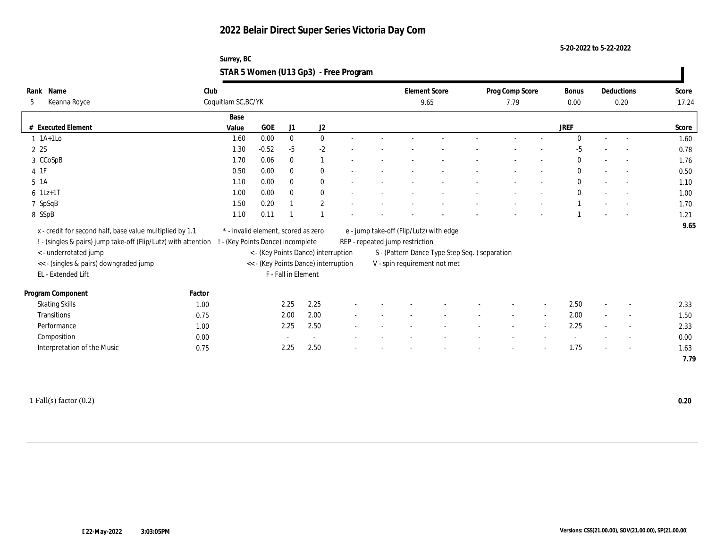**5-20-2022 to 5-22-2022**

### **Surrey, BC STAR 5 Women (U13 Gp3) - Free Program**

|         | Rank Name                                                      | Club   |                                     |            |                     |                                      |                                 |  | <b>Element Score</b> |                                               | Prog Comp Score |        | Bonus        |        | Deductions               | Score |
|---------|----------------------------------------------------------------|--------|-------------------------------------|------------|---------------------|--------------------------------------|---------------------------------|--|----------------------|-----------------------------------------------|-----------------|--------|--------------|--------|--------------------------|-------|
| 5       | Keanna Royce                                                   |        | Coquitlam SC, BC/YK                 |            |                     |                                      |                                 |  | 9.65                 |                                               | 7.79            |        | 0.00         |        | 0.20                     | 17.24 |
|         |                                                                |        | Base                                |            |                     |                                      |                                 |  |                      |                                               |                 |        |              |        |                          |       |
|         | # Executed Element                                             |        | Value                               | <b>GOE</b> | J1                  | $\mathrm{J}2$                        |                                 |  |                      |                                               |                 |        | <b>JREF</b>  |        |                          | Score |
|         | $1$ 1A+1Lo                                                     |        | 1.60                                | 0.00       | $\bf{0}$            | $\bf{0}$                             |                                 |  |                      |                                               |                 |        | $\theta$     |        |                          | 1.60  |
| 2 2S    |                                                                |        | 1.30                                | $-0.52$    | $-5$                | $-2$                                 |                                 |  |                      |                                               |                 |        | $-5$         |        |                          | 0.78  |
|         | 3 CCoSpB                                                       |        | 1.70                                | 0.06       | $\mathbf{0}$        | $\mathbf{1}$                         |                                 |  |                      |                                               |                 |        | $\mathbf{0}$ |        |                          | 1.76  |
| $4$ 1F  |                                                                |        | 0.50                                | 0.00       | $\mathbf{0}$        | $\bf{0}$                             |                                 |  |                      |                                               |                 |        | $\mathbf{0}$ | $\sim$ | $\overline{a}$           | 0.50  |
| $5\;1A$ |                                                                |        | 1.10                                | 0.00       | $\mathbf{0}$        | $\bf{0}$                             |                                 |  |                      |                                               |                 |        | $\mathbf{0}$ | $\sim$ | $\sim$                   | 1.10  |
|         | $6 \text{ 1Lz+1T}$                                             |        | 1.00                                | 0.00       | $\mathbf{0}$        | $\bf{0}$                             |                                 |  |                      |                                               |                 |        | $\mathbf{0}$ |        | $\sim$                   | 1.00  |
|         | 7 SpSqB                                                        |        | 1.50                                | 0.20       |                     | $\mathbf{2}$                         |                                 |  |                      |                                               |                 |        |              |        |                          | 1.70  |
| 8 SSpB  |                                                                |        | 1.10                                | 0.11       |                     |                                      |                                 |  |                      |                                               |                 |        |              |        |                          | 1.21  |
|         | x - credit for second half, base value multiplied by 1.1       |        | * - invalid element, scored as zero |            |                     |                                      |                                 |  |                      | e - jump take-off (Flip/Lutz) with edge       |                 |        |              |        |                          | 9.65  |
|         | ! - (singles & pairs) jump take-off (Flip/Lutz) with attention |        | - (Key Points Dance) incomplete     |            |                     |                                      | REP - repeated jump restriction |  |                      |                                               |                 |        |              |        |                          |       |
|         | <- underrotated jump                                           |        |                                     |            |                     | < - (Key Points Dance) interruption  |                                 |  |                      | S - (Pattern Dance Type Step Seq.) separation |                 |        |              |        |                          |       |
|         | << - (singles & pairs) downgraded jump                         |        |                                     |            |                     | << - (Key Points Dance) interruption |                                 |  |                      | V - spin requirement not met                  |                 |        |              |        |                          |       |
|         | EL - Extended Lift                                             |        |                                     |            | F - Fall in Element |                                      |                                 |  |                      |                                               |                 |        |              |        |                          |       |
|         |                                                                |        |                                     |            |                     |                                      |                                 |  |                      |                                               |                 |        |              |        |                          |       |
|         | Program Component                                              | Factor |                                     |            |                     |                                      |                                 |  |                      |                                               |                 |        |              |        |                          |       |
|         | <b>Skating Skills</b>                                          | 1.00   |                                     |            | 2.25                | 2.25                                 |                                 |  |                      |                                               |                 |        | 2.50         |        | $\overline{\phantom{a}}$ | 2.33  |
|         | Transitions                                                    | 0.75   |                                     |            | 2.00                | 2.00                                 |                                 |  |                      |                                               | $\sim$          | $\sim$ | 2.00         | $\sim$ | $\overline{\phantom{a}}$ | 1.50  |
|         | Performance                                                    | 1.00   |                                     |            | 2.25                | 2.50                                 |                                 |  |                      |                                               |                 |        | 2.25         |        | $\sim$                   | 2.33  |
|         | Composition                                                    | 0.00   |                                     |            |                     | $\sim$                               |                                 |  |                      |                                               |                 |        |              |        | $\overline{\phantom{a}}$ | 0.00  |
|         | Interpretation of the Music                                    | 0.75   |                                     |            | 2.25                | 2.50                                 |                                 |  |                      |                                               |                 |        | 1.75         |        | $\sim$                   | 1.63  |
|         |                                                                |        |                                     |            |                     |                                      |                                 |  |                      |                                               |                 |        |              |        |                          | 7.79  |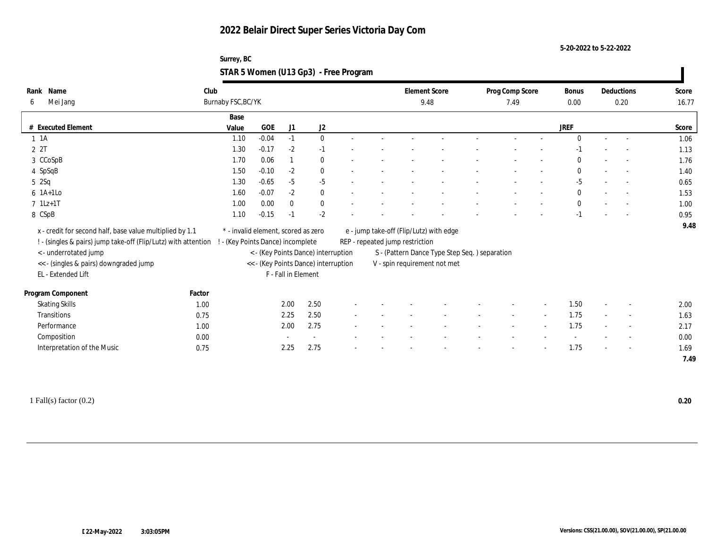**5-20-2022 to 5-22-2022**

### **Surrey, BC STAR 5 Women (U13 Gp3) - Free Program**

| Name<br>Rank                                                   | Club   |                                     |            |                     |                                      |  |                                 | <b>Element Score</b> |                                                | Prog Comp Score |        | Bonus        |        | Deductions               | Score |
|----------------------------------------------------------------|--------|-------------------------------------|------------|---------------------|--------------------------------------|--|---------------------------------|----------------------|------------------------------------------------|-----------------|--------|--------------|--------|--------------------------|-------|
| Mei Jang<br>6                                                  |        | Burnaby FSC, BC/YK                  |            |                     |                                      |  |                                 | 9.48                 |                                                | 7.49            |        | 0.00         |        | 0.20                     | 16.77 |
|                                                                |        | Base                                |            |                     |                                      |  |                                 |                      |                                                |                 |        |              |        |                          |       |
| # Executed Element                                             |        | Value                               | <b>GOE</b> | J1                  | J2                                   |  |                                 |                      |                                                |                 |        | JREF         |        |                          | Score |
| $1 \t1A$                                                       |        | 1.10                                | $-0.04$    | $-1$                | $\bf{0}$                             |  |                                 |                      |                                                |                 |        | $\mathbf{0}$ | $\sim$ | $\sim$                   | 1.06  |
| 2 2T                                                           |        | 1.30                                | $-0.17$    | $-2$                | $-1$                                 |  |                                 |                      |                                                |                 |        | -1           |        |                          | 1.13  |
| 3 CCoSpB                                                       |        | 1.70                                | 0.06       |                     | $\bf{0}$                             |  |                                 |                      |                                                |                 |        | $\Omega$     |        |                          | 1.76  |
| 4 SpSqB                                                        |        | 1.50                                | $-0.10$    | $-2$                | $\bf{0}$                             |  |                                 |                      |                                                |                 |        | $\mathbf{0}$ | $\sim$ | $\sim$                   | 1.40  |
| 52Sq                                                           |        | 1.30                                | $-0.65$    | $-5$                | $-5$                                 |  |                                 |                      |                                                |                 |        | $-5$         |        | $\overline{\phantom{a}}$ | 0.65  |
| $6$ 1A+1Lo                                                     |        | 1.60                                | $-0.07$    | $-2$                | $\bf{0}$                             |  |                                 |                      |                                                |                 |        | $\mathbf{0}$ |        | $\sim$                   | 1.53  |
| $7 \text{ 1Lz+1T}$                                             |        | 1.00                                | 0.00       | $\mathbf{0}$        | $\bf{0}$                             |  |                                 |                      |                                                |                 |        | $\bf{0}$     |        |                          | 1.00  |
| 8 CSpB                                                         |        | 1.10                                | $-0.15$    | $-1$                | $-2$                                 |  |                                 |                      |                                                |                 |        | $-1$         |        |                          | 0.95  |
| x - credit for second half, base value multiplied by 1.1       |        | * - invalid element, scored as zero |            |                     |                                      |  |                                 |                      | e - jump take-off (Flip/Lutz) with edge        |                 |        |              |        |                          | 9.48  |
| ! - (singles & pairs) jump take-off (Flip/Lutz) with attention |        | - (Key Points Dance) incomplete     |            |                     |                                      |  | REP - repeated jump restriction |                      |                                                |                 |        |              |        |                          |       |
| < - underrotated jump                                          |        |                                     |            |                     | < - (Key Points Dance) interruption  |  |                                 |                      | S - (Pattern Dance Type Step Seq. ) separation |                 |        |              |        |                          |       |
| << - (singles & pairs) downgraded jump                         |        |                                     |            |                     | << - (Key Points Dance) interruption |  |                                 |                      | V - spin requirement not met                   |                 |        |              |        |                          |       |
| EL - Extended Lift                                             |        |                                     |            | F - Fall in Element |                                      |  |                                 |                      |                                                |                 |        |              |        |                          |       |
|                                                                |        |                                     |            |                     |                                      |  |                                 |                      |                                                |                 |        |              |        |                          |       |
| Program Component                                              | Factor |                                     |            |                     |                                      |  |                                 |                      |                                                |                 |        |              |        |                          |       |
| <b>Skating Skills</b>                                          | 1.00   |                                     |            | 2.00                | 2.50                                 |  |                                 |                      |                                                |                 |        | 1.50         |        | $\overline{\phantom{a}}$ | 2.00  |
| Transitions                                                    | 0.75   |                                     |            | 2.25                | 2.50                                 |  |                                 |                      |                                                | $\sim$          | $\sim$ | 1.75         | $\sim$ | $\sim$                   | 1.63  |
| Performance                                                    | 1.00   |                                     |            | 2.00                | 2.75                                 |  |                                 |                      |                                                |                 |        | 1.75         |        | $\overline{\phantom{a}}$ | 2.17  |
| Composition                                                    | 0.00   |                                     |            |                     | $\sim$                               |  |                                 |                      |                                                |                 |        |              |        |                          | 0.00  |
| Interpretation of the Music                                    | 0.75   |                                     |            | 2.25                | 2.75                                 |  |                                 |                      |                                                |                 |        | 1.75         |        | $\sim$                   | 1.69  |
|                                                                |        |                                     |            |                     |                                      |  |                                 |                      |                                                |                 |        |              |        |                          | 7.49  |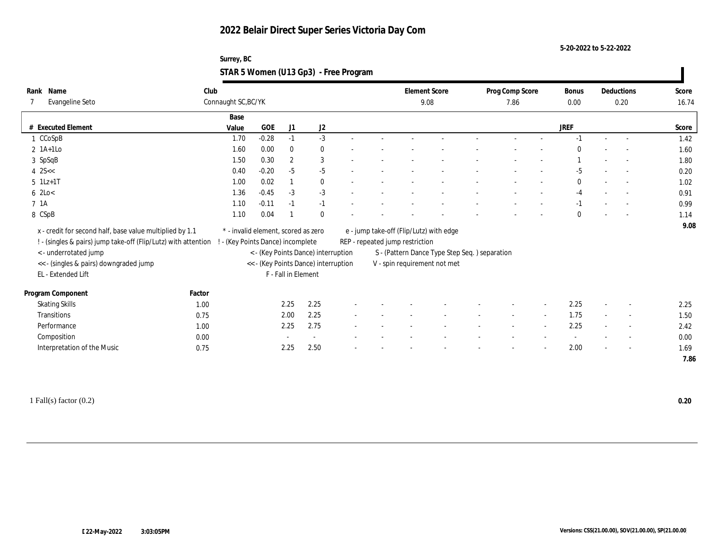**5-20-2022 to 5-22-2022**

### **Surrey, BC STAR 5 Women (U13 Gp3) - Free Program**

| Name<br>Rank                                                   | Club   |                                     |            |                     |                                      |        |                                 | <b>Element Score</b>                           | Prog Comp Score |        | Bonus        |        | Deductions               | Score |
|----------------------------------------------------------------|--------|-------------------------------------|------------|---------------------|--------------------------------------|--------|---------------------------------|------------------------------------------------|-----------------|--------|--------------|--------|--------------------------|-------|
| Evangeline Seto                                                |        | Connaught SC, BC/YK                 |            |                     |                                      |        |                                 | 9.08                                           | 7.86            |        | 0.00         |        | 0.20                     | 16.74 |
|                                                                |        | Base                                |            |                     |                                      |        |                                 |                                                |                 |        |              |        |                          |       |
| # Executed Element                                             |        | Value                               | <b>GOE</b> | J1                  | J2                                   |        |                                 |                                                |                 |        | <b>JREF</b>  |        |                          | Score |
| 1 CCoSpB                                                       |        | 1.70                                | $-0.28$    | $-1$                | $-3$                                 | $\sim$ |                                 |                                                | $\sim$          |        | $-1$         | $\sim$ | $\sim$                   | 1.42  |
| $2 \text{ 1A+1Lo}$                                             |        | 1.60                                | 0.00       | $\bf{0}$            | $\bf{0}$                             |        |                                 |                                                |                 |        | $\Omega$     |        |                          | 1.60  |
| 3 SpSqB                                                        |        | 1.50                                | 0.30       | $\overline{2}$      | 3                                    |        |                                 |                                                |                 |        |              |        |                          | 1.80  |
| $4$ 2S $<$                                                     |        | 0.40                                | $-0.20$    | $-5$                | $-5$                                 |        |                                 |                                                |                 |        | $-5$         |        | $\overline{a}$           | 0.20  |
| $5$ 1Lz+1T                                                     |        | 1.00                                | 0.02       |                     | $\bf{0}$                             |        |                                 |                                                |                 |        | $\mathbf{0}$ |        | $\sim$                   | 1.02  |
| $6$ 2Lo $<$                                                    |        | 1.36                                | $-0.45$    | $-3$                | $-3$                                 |        |                                 |                                                |                 |        | $-4$         |        | $\sim$                   | 0.91  |
| 7 1A                                                           |        | 1.10                                | $-0.11$    | $-1$                | $-1$                                 |        |                                 |                                                |                 |        | $-1$         |        |                          | 0.99  |
| 8 CSpB                                                         |        | 1.10                                | 0.04       |                     | $\mathbf{0}$                         |        |                                 |                                                |                 |        | $\mathbf{0}$ |        |                          | 1.14  |
| x - credit for second half, base value multiplied by 1.1       |        | * - invalid element, scored as zero |            |                     |                                      |        |                                 | e - jump take-off (Flip/Lutz) with edge        |                 |        |              |        |                          | 9.08  |
| ! - (singles & pairs) jump take-off (Flip/Lutz) with attention |        | - (Key Points Dance) incomplete     |            |                     |                                      |        | REP - repeated jump restriction |                                                |                 |        |              |        |                          |       |
| < - underrotated jump                                          |        |                                     |            |                     | < - (Key Points Dance) interruption  |        |                                 | S - (Pattern Dance Type Step Seq. ) separation |                 |        |              |        |                          |       |
| << - (singles & pairs) downgraded jump                         |        |                                     |            |                     | << - (Key Points Dance) interruption |        |                                 | V - spin requirement not met                   |                 |        |              |        |                          |       |
| EL - Extended Lift                                             |        |                                     |            | F - Fall in Element |                                      |        |                                 |                                                |                 |        |              |        |                          |       |
|                                                                |        |                                     |            |                     |                                      |        |                                 |                                                |                 |        |              |        |                          |       |
| Program Component                                              | Factor |                                     |            |                     |                                      |        |                                 |                                                |                 |        |              |        |                          |       |
| <b>Skating Skills</b>                                          | 1.00   |                                     |            | 2.25                | 2.25                                 |        |                                 |                                                |                 |        | 2.25         |        | $\overline{\phantom{a}}$ | 2.25  |
| Transitions                                                    | 0.75   |                                     |            | 2.00                | 2.25                                 |        |                                 |                                                | $\sim$          | $\sim$ | 1.75         | $\sim$ | $\sim$                   | 1.50  |
| Performance                                                    | 1.00   |                                     |            | 2.25                | 2.75                                 |        |                                 |                                                |                 | $\sim$ | 2.25         |        | $\overline{\phantom{a}}$ | 2.42  |
| Composition                                                    | 0.00   |                                     |            |                     | $\sim$                               |        |                                 |                                                |                 |        |              |        | $\overline{\phantom{a}}$ | 0.00  |
| Interpretation of the Music                                    | 0.75   |                                     |            | 2.25                | 2.50                                 |        |                                 |                                                |                 |        | 2.00         |        | $\sim$                   | 1.69  |
|                                                                |        |                                     |            |                     |                                      |        |                                 |                                                |                 |        |              |        |                          | 7.86  |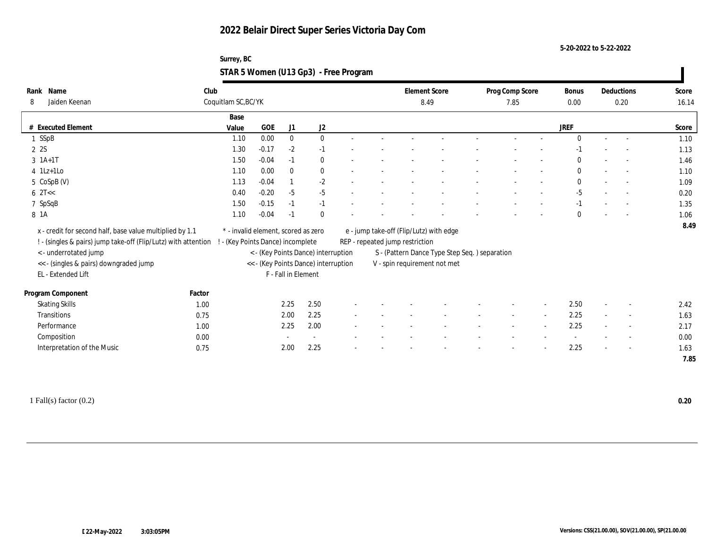**5-20-2022 to 5-22-2022**

### **Surrey, BC STAR 5 Women (U13 Gp3) - Free Program**

| Name<br>Rank                                                   | Club                |                                     |            |                     |                                      |  |                                 | <b>Element Score</b>                           | Prog Comp Score |        | Bonus        |        | Deductions               | Score |
|----------------------------------------------------------------|---------------------|-------------------------------------|------------|---------------------|--------------------------------------|--|---------------------------------|------------------------------------------------|-----------------|--------|--------------|--------|--------------------------|-------|
| Jaiden Keenan<br>8                                             | Coquitlam SC, BC/YK |                                     |            |                     |                                      |  |                                 | 8.49                                           | 7.85            |        | 0.00         |        | 0.20                     | 16.14 |
|                                                                |                     | Base                                |            |                     |                                      |  |                                 |                                                |                 |        |              |        |                          |       |
| # Executed Element                                             |                     | Value                               | <b>GOE</b> | J1                  | $\mathrm{J}2$                        |  |                                 |                                                |                 |        | <b>JREF</b>  |        |                          | Score |
| 1 SSpB                                                         |                     | 1.10                                | 0.00       | $\mathbf{0}$        | $\mathbf{0}$                         |  |                                 |                                                |                 |        | $\Omega$     | $\sim$ | $\sim$                   | 1.10  |
| 2 2S                                                           |                     | 1.30                                | $-0.17$    | $-2$                | $-1$                                 |  |                                 |                                                |                 |        | -1           |        |                          | 1.13  |
| $3 \; 1A+1T$                                                   |                     | 1.50                                | $-0.04$    | $-1$                | $\bf{0}$                             |  |                                 |                                                |                 |        | $\Omega$     |        |                          | 1.46  |
| $4$ 1Lz+1Lo                                                    |                     | 1.10                                | 0.00       | $\mathbf{0}$        | $\bf{0}$                             |  |                                 |                                                |                 |        | $\mathbf{0}$ |        | $\sim$                   | 1.10  |
| 5 CoSpB (V)                                                    |                     | 1.13                                | $-0.04$    |                     | $-2$                                 |  |                                 |                                                |                 |        | $\mathbf{0}$ |        | $\sim$                   | 1.09  |
| $6 \text{ } 2T <<$                                             |                     | 0.40                                | $-0.20$    | $-5$                | $-5$                                 |  |                                 |                                                |                 |        | $-5$         |        |                          | 0.20  |
| 7 SpSqB                                                        |                     | 1.50                                | $-0.15$    | $-1$                | $-1$                                 |  |                                 |                                                |                 |        | $-1$         |        |                          | 1.35  |
| 8 1 A                                                          |                     | 1.10                                | $-0.04$    | $-1$                | $\mathbf{0}$                         |  |                                 |                                                |                 |        | $\theta$     |        |                          | 1.06  |
| x - credit for second half, base value multiplied by 1.1       |                     | * - invalid element, scored as zero |            |                     |                                      |  |                                 | e - jump take-off (Flip/Lutz) with edge        |                 |        |              |        |                          | 8.49  |
| ! - (singles & pairs) jump take-off (Flip/Lutz) with attention |                     | ! - (Key Points Dance) incomplete   |            |                     |                                      |  | REP - repeated jump restriction |                                                |                 |        |              |        |                          |       |
| < - underrotated jump                                          |                     |                                     |            |                     | < - (Key Points Dance) interruption  |  |                                 | S - (Pattern Dance Type Step Seq. ) separation |                 |        |              |        |                          |       |
| << - (singles & pairs) downgraded jump                         |                     |                                     |            |                     | << - (Key Points Dance) interruption |  |                                 | V - spin requirement not met                   |                 |        |              |        |                          |       |
| EL - Extended Lift                                             |                     |                                     |            | F - Fall in Element |                                      |  |                                 |                                                |                 |        |              |        |                          |       |
|                                                                |                     |                                     |            |                     |                                      |  |                                 |                                                |                 |        |              |        |                          |       |
| Program Component                                              | Factor              |                                     |            |                     |                                      |  |                                 |                                                |                 |        |              |        |                          |       |
| <b>Skating Skills</b>                                          | 1.00                |                                     |            | 2.25                | 2.50                                 |  |                                 |                                                |                 |        | 2.50         |        |                          | 2.42  |
| Transitions                                                    | 0.75                |                                     |            | 2.00                | 2.25                                 |  |                                 |                                                |                 | $\sim$ | 2.25         |        | $\overline{\phantom{a}}$ | 1.63  |
| Performance                                                    | 1.00                |                                     |            | 2.25                | 2.00                                 |  |                                 |                                                |                 |        | 2.25         |        |                          | 2.17  |
| Composition                                                    | 0.00                |                                     |            |                     | $\sim$                               |  |                                 |                                                |                 |        |              |        | $\sim$                   | 0.00  |
| Interpretation of the Music                                    | 0.75                |                                     |            | 2.00                | 2.25                                 |  |                                 |                                                |                 |        | 2.25         |        | $\overline{a}$           | 1.63  |
|                                                                |                     |                                     |            |                     |                                      |  |                                 |                                                |                 |        |              |        |                          | 7.85  |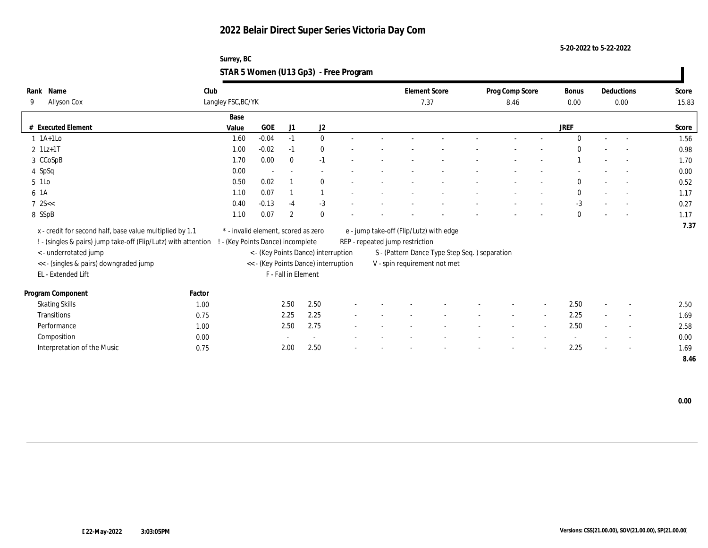**5-20-2022 to 5-22-2022**

| Name<br>Rank                                                   | Club   |                                     |            |                     |                                      |  |                                 | <b>Element Score</b>                           | Prog Comp Score |        | <b>Bonus</b> |                | Deductions               | Score |
|----------------------------------------------------------------|--------|-------------------------------------|------------|---------------------|--------------------------------------|--|---------------------------------|------------------------------------------------|-----------------|--------|--------------|----------------|--------------------------|-------|
| Allyson Cox<br>9                                               |        | Langley FSC, BC/YK                  |            |                     |                                      |  |                                 | 7.37                                           | 8.46            |        | $0.00\,$     |                | 0.00                     | 15.83 |
|                                                                |        | Base                                |            |                     |                                      |  |                                 |                                                |                 |        |              |                |                          |       |
| # Executed Element                                             |        | Value                               | <b>GOE</b> | J1                  | J2                                   |  |                                 |                                                |                 |        | <b>JREF</b>  |                |                          | Score |
| $1$ 1A+1Lo                                                     |        | 1.60                                | $-0.04$    | $-1$                | $\mathbf{0}$                         |  |                                 |                                                |                 |        | $\Omega$     | $\sim$         | $\sim$                   | 1.56  |
| $2 \; 1Lz+1T$                                                  |        | 1.00                                | $-0.02$    | $-1$                | $\bf{0}$                             |  |                                 |                                                |                 |        | $\Omega$     |                |                          | 0.98  |
| 3 CCoSpB                                                       |        | 1.70                                | 0.00       | $\mathbf{0}$        | $-1$                                 |  |                                 |                                                |                 |        |              |                | $\overline{\phantom{a}}$ | 1.70  |
| 4 SpSq                                                         |        | 0.00                                |            |                     |                                      |  |                                 |                                                |                 |        |              |                |                          | 0.00  |
| 5 1Lo                                                          |        | 0.50                                | 0.02       |                     | $\mathbf{0}$                         |  |                                 |                                                |                 |        | $\Omega$     |                | $\overline{a}$           | 0.52  |
| 6 1A                                                           |        | 1.10                                | 0.07       |                     | $\overline{1}$                       |  |                                 |                                                |                 |        | $\mathbf{0}$ |                |                          | 1.17  |
| $7 \, 25 <$                                                    |        | 0.40                                | $-0.13$    | $-4$                | $-3$                                 |  |                                 |                                                |                 |        | $-3$         |                | $\overline{\phantom{a}}$ | 0.27  |
| 8 SSpB                                                         |        | 1.10                                | 0.07       | $\overline{c}$      | $\mathbf{0}$                         |  |                                 |                                                |                 |        | $\mathbf{0}$ |                |                          | 1.17  |
| x - credit for second half, base value multiplied by 1.1       |        | * - invalid element, scored as zero |            |                     |                                      |  |                                 | e - jump take-off (Flip/Lutz) with edge        |                 |        |              |                |                          | 7.37  |
| ! - (singles & pairs) jump take-off (Flip/Lutz) with attention |        | - (Key Points Dance) incomplete     |            |                     |                                      |  | REP - repeated jump restriction |                                                |                 |        |              |                |                          |       |
| <- underrotated jump                                           |        |                                     |            |                     | < - (Key Points Dance) interruption  |  |                                 | S - (Pattern Dance Type Step Seq. ) separation |                 |        |              |                |                          |       |
| << - (singles & pairs) downgraded jump                         |        |                                     |            |                     | << - (Key Points Dance) interruption |  |                                 | V - spin requirement not met                   |                 |        |              |                |                          |       |
| EL - Extended Lift                                             |        |                                     |            | F - Fall in Element |                                      |  |                                 |                                                |                 |        |              |                |                          |       |
|                                                                |        |                                     |            |                     |                                      |  |                                 |                                                |                 |        |              |                |                          |       |
| Program Component                                              | Factor |                                     |            |                     |                                      |  |                                 |                                                |                 |        |              |                |                          |       |
| <b>Skating Skills</b>                                          | 1.00   |                                     |            | 2.50                | 2.50                                 |  |                                 |                                                |                 |        | 2.50         | $\overline{a}$ | $\overline{\phantom{a}}$ | 2.50  |
| Transitions                                                    | 0.75   |                                     |            | 2.25                | 2.25                                 |  |                                 |                                                | $\sim$          | $\sim$ | 2.25         | $\sim$         | $\sim$                   | 1.69  |
| Performance                                                    | 1.00   |                                     |            | 2.50                | 2.75                                 |  |                                 |                                                |                 | $\sim$ | 2.50         |                | $\overline{\phantom{a}}$ | 2.58  |
| Composition                                                    | 0.00   |                                     |            |                     |                                      |  |                                 |                                                |                 |        |              |                | $\overline{\phantom{a}}$ | 0.00  |
| Interpretation of the Music                                    | 0.75   |                                     |            | 2.00                | 2.50                                 |  |                                 |                                                |                 |        | 2.25         |                | $\overline{\phantom{a}}$ | 1.69  |
|                                                                |        |                                     |            |                     |                                      |  |                                 |                                                |                 |        |              |                |                          | 8.46  |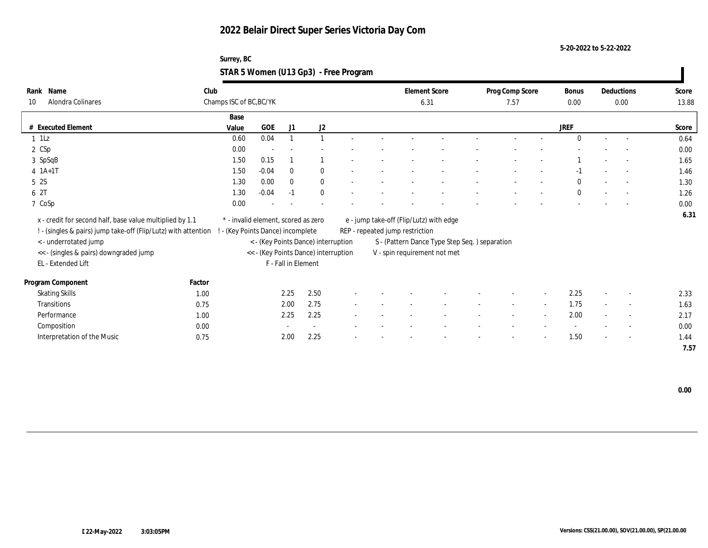**5-20-2022 to 5-22-2022**

#### **Surrey, BC STAR 5 Women (U13 Gp3) - Free Program**

| Name<br>Rank                                                   | Club   |                                     |         |                     |                                      |  |                                 | <b>Element Score</b>                           | Prog Comp Score          |                          | <b>Bonus</b> |        | Deductions               | Score |
|----------------------------------------------------------------|--------|-------------------------------------|---------|---------------------|--------------------------------------|--|---------------------------------|------------------------------------------------|--------------------------|--------------------------|--------------|--------|--------------------------|-------|
| Alondra Colinares<br>10                                        |        | Champs ISC of BC, BC/YK             |         |                     |                                      |  |                                 | 6.31                                           | 7.57                     |                          | $0.00\,$     |        | 0.00                     | 13.88 |
|                                                                |        | Base                                |         |                     |                                      |  |                                 |                                                |                          |                          |              |        |                          |       |
| # Executed Element                                             |        | Value                               | GOE     | J1                  | J2                                   |  |                                 |                                                |                          |                          | <b>JREF</b>  |        |                          | Score |
| $1$ $1\mathrm{Lz}$                                             |        | 0.60                                | 0.04    |                     |                                      |  |                                 |                                                |                          |                          | $\Omega$     |        | $\sim$                   | 0.64  |
| 2 CSp                                                          |        | 0.00                                |         |                     |                                      |  |                                 |                                                |                          |                          |              |        |                          | 0.00  |
| 3 SpSqB                                                        |        | 1.50                                | 0.15    |                     |                                      |  |                                 |                                                |                          |                          |              |        |                          | 1.65  |
| $4 1A+1T$                                                      |        | 1.50                                | $-0.04$ | $\mathbf{0}$        | $\bf{0}$                             |  |                                 |                                                |                          |                          | -1           |        |                          | 1.46  |
| 5 2S                                                           |        | 1.30                                | 0.00    | $\mathbf{0}$        | $\bf{0}$                             |  |                                 |                                                | $\overline{\phantom{a}}$ |                          | $\mathbf{0}$ | $\sim$ | $\sim$                   | 1.30  |
| 6 2T                                                           |        | 1.30                                | $-0.04$ | $-1$                | $\bf{0}$                             |  |                                 |                                                |                          |                          | $\mathbf{0}$ |        | $\sim$                   | 1.26  |
| 7 CoSp                                                         |        | 0.00                                |         |                     |                                      |  |                                 |                                                |                          |                          |              |        | $\overline{\phantom{a}}$ | 0.00  |
| x - credit for second half, base value multiplied by 1.1       |        | * - invalid element, scored as zero |         |                     |                                      |  |                                 | e - jump take-off (Flip/Lutz) with edge        |                          |                          |              |        |                          | 6.31  |
| ! - (singles & pairs) jump take-off (Flip/Lutz) with attention |        | - (Key Points Dance) incomplete     |         |                     |                                      |  | REP - repeated jump restriction |                                                |                          |                          |              |        |                          |       |
| <- underrotated jump                                           |        |                                     |         |                     | < - (Key Points Dance) interruption  |  |                                 | S - (Pattern Dance Type Step Seq. ) separation |                          |                          |              |        |                          |       |
| << - (singles & pairs) downgraded jump                         |        |                                     |         |                     | << - (Key Points Dance) interruption |  |                                 | V - spin requirement not met                   |                          |                          |              |        |                          |       |
| EL - Extended Lift                                             |        |                                     |         | F - Fall in Element |                                      |  |                                 |                                                |                          |                          |              |        |                          |       |
|                                                                |        |                                     |         |                     |                                      |  |                                 |                                                |                          |                          |              |        |                          |       |
| Program Component                                              | Factor |                                     |         |                     |                                      |  |                                 |                                                |                          |                          |              |        |                          |       |
| <b>Skating Skills</b>                                          | 1.00   |                                     |         | 2.25                | 2.50                                 |  |                                 |                                                |                          |                          | 2.25         |        | $\overline{\phantom{a}}$ | 2.33  |
| Transitions                                                    | 0.75   |                                     |         | 2.00                | 2.75                                 |  |                                 |                                                | $\overline{\phantom{a}}$ | $\overline{\phantom{a}}$ | 1.75         | $\sim$ | $\overline{\phantom{a}}$ | 1.63  |
| Performance                                                    | 1.00   |                                     |         | 2.25                | 2.25                                 |  |                                 |                                                |                          |                          | 2.00         |        | $\overline{\phantom{a}}$ | 2.17  |
| Composition                                                    | 0.00   |                                     |         |                     | $\sim$                               |  |                                 |                                                |                          |                          |              |        | $\overline{\phantom{a}}$ | 0.00  |
| Interpretation of the Music                                    | 0.75   |                                     |         | 2.00                | 2.25                                 |  |                                 |                                                |                          |                          | 1.50         |        | $\overline{\phantom{a}}$ | 1.44  |
|                                                                |        |                                     |         |                     |                                      |  |                                 |                                                |                          |                          |              |        |                          | 7.57  |

 $\mathbf{I}$